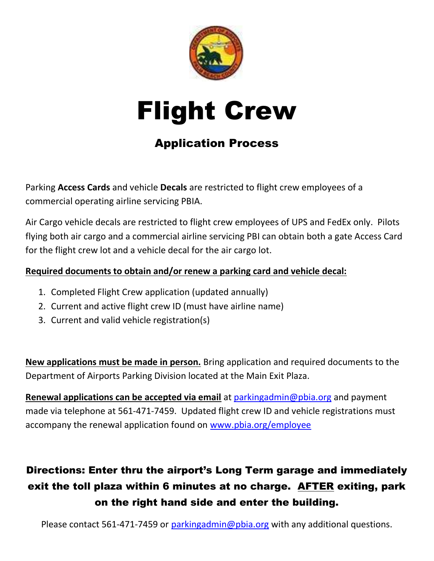



### Application Process

Parking Access Cards and vehicle Decals are restricted to flight crew employees of a commercial operating airline servicing PBIA.

Air Cargo vehicle decals are restricted to flight crew employees of UPS and FedEx only. Pilots flying both air cargo and a commercial airline servicing PBI can obtain both a gate Access Card for the flight crew lot and a vehicle decal for the air cargo lot.

#### Required documents to obtain and/or renew a parking card and vehicle decal:

- 1. Completed Flight Crew application (updated annually)
- 2. Current and active flight crew ID (must have airline name)
- 3. Current and valid vehicle registration(s)

New applications must be made in person. Bring application and required documents to the Department of Airports Parking Division located at the Main Exit Plaza.

Renewal applications can be accepted via email at parkingadmin@pbia.org and payment made via telephone at 561-471-7459. Updated flight crew ID and vehicle registrations must accompany the renewal application found on www.pbia.org/employee

## Directions: Enter thru the airport's Long Term garage and immediately exit the toll plaza within 6 minutes at no charge. AFTER exiting, park on the right hand side and enter the building.

Please contact 561-471-7459 or parkingadmin@pbia.org with any additional questions.